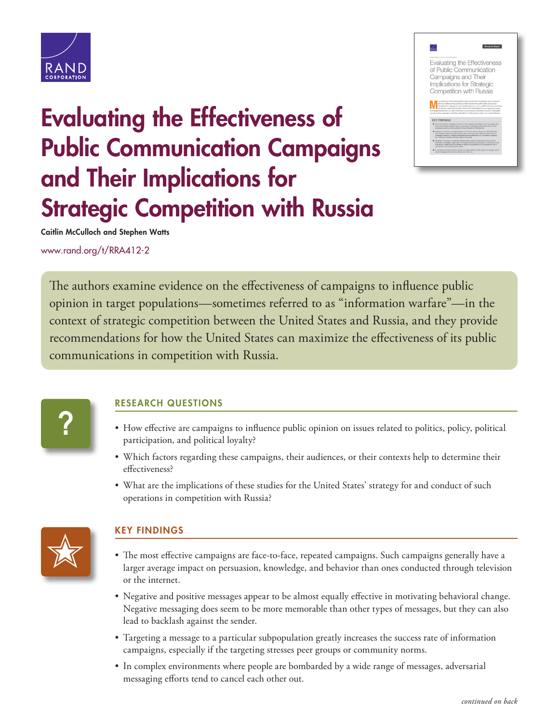

## Evaluating the Effectiveness of Public Communication Campaigns and Their Implications for **Strategic Competition with Russia**



Caitlin McCulloch and Stephen Watts

[www.rand.org/t/RRA412-2](http://www.rand.org/t/RRA412-2)

The authors examine evidence on the effectiveness of campaigns to influence public opinion in target populations—sometimes referred to as "information warfare"—in the context of strategic competition between the United States and Russia, and they provide recommendations for how the United States can maximize the effectiveness of its public communications in competition with Russia.

**?**

## RESEARCH QUESTIONS

- How effective are campaigns to influence public opinion on issues related to politics, policy, political participation, and political loyalty?
- Which factors regarding these campaigns, their audiences, or their contexts help to determine their effectiveness?
- What are the implications of these studies for the United States' strategy for and conduct of such operations in competition with Russia?



## KEY FINDINGS

- The most effective campaigns are face-to-face, repeated campaigns. Such campaigns generally have a larger average impact on persuasion, knowledge, and behavior than ones conducted through television or the internet.
- Negative and positive messages appear to be almost equally effective in motivating behavioral change. Negative messaging does seem to be more memorable than other types of messages, but they can also lead to backlash against the sender.
- Targeting a message to a particular subpopulation greatly increases the success rate of information campaigns, especially if the targeting stresses peer groups or community norms.
- In complex environments where people are bombarded by a wide range of messages, adversarial messaging efforts tend to cancel each other out.